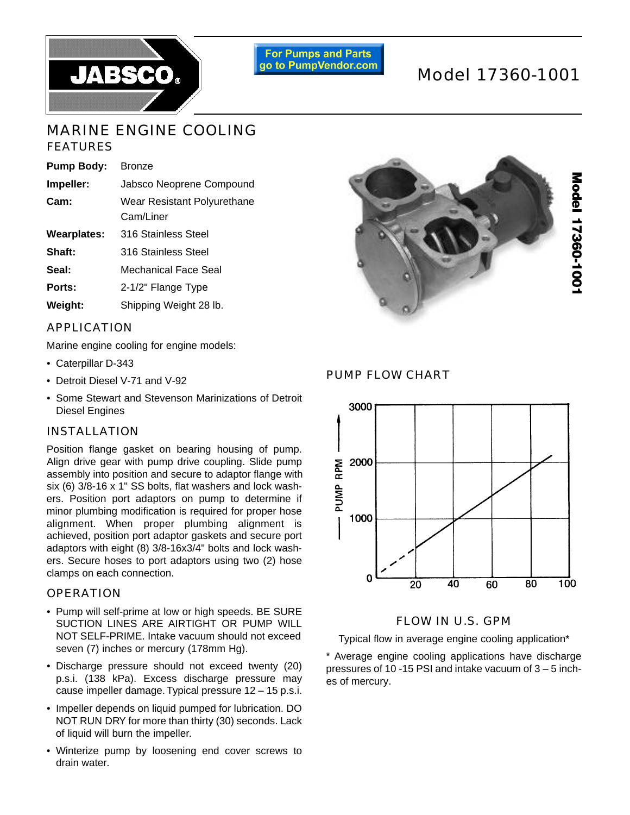

**For Pumps and Parts** go to PumpVendor.com

# Model 17360-1001

# MARINE ENGINE COOLING FEATURES

| <b>Pump Body:</b>  | <b>Bronze</b>                            |
|--------------------|------------------------------------------|
| Impeller:          | Jabsco Neoprene Compound                 |
| Cam:               | Wear Resistant Polyurethane<br>Cam/Liner |
| <b>Wearplates:</b> | 316 Stainless Steel                      |
| Shaft:             | 316 Stainless Steel                      |
| Seal:              | Mechanical Face Seal                     |
| Ports:             | 2-1/2" Flange Type                       |
| Weight:            | Shipping Weight 28 lb.                   |
|                    |                                          |

## APPLICATION

Marine engine cooling for engine models:

- Caterpillar D-343
- Detroit Diesel V-71 and V-92
- Some Stewart and Stevenson Marinizations of Detroit Diesel Engines

### INSTALLATION

Position flange gasket on bearing housing of pump. Align drive gear with pump drive coupling. Slide pump assembly into position and secure to adaptor flange with six (6) 3/8-16 x 1" SS bolts, flat washers and lock washers. Position port adaptors on pump to determine if minor plumbing modification is required for proper hose alignment. When proper plumbing alignment is achieved, position port adaptor gaskets and secure port adaptors with eight (8) 3/8-16x3/4" bolts and lock washers. Secure hoses to port adaptors using two (2) hose clamps on each connection.

### **OPERATION**

- Pump will self-prime at low or high speeds. BE SURE SUCTION LINES ARE AIRTIGHT OR PUMP WILL NOT SELF-PRIME. Intake vacuum should not exceed seven (7) inches or mercury (178mm Hg).
- Discharge pressure should not exceed twenty (20) p.s.i. (138 kPa). Excess discharge pressure may cause impeller damage. Typical pressure 12 – 15 p.s.i.
- Impeller depends on liquid pumped for lubrication. DO NOT RUN DRY for more than thirty (30) seconds. Lack of liquid will burn the impeller.
- Winterize pump by loosening end cover screws to drain water.



PUMP FLOW CHART



#### FLOW IN U.S. GPM

Typical flow in average engine cooling application\*

\* Average engine cooling applications have discharge pressures of 10 -15 PSI and intake vacuum of 3 – 5 inches of mercury.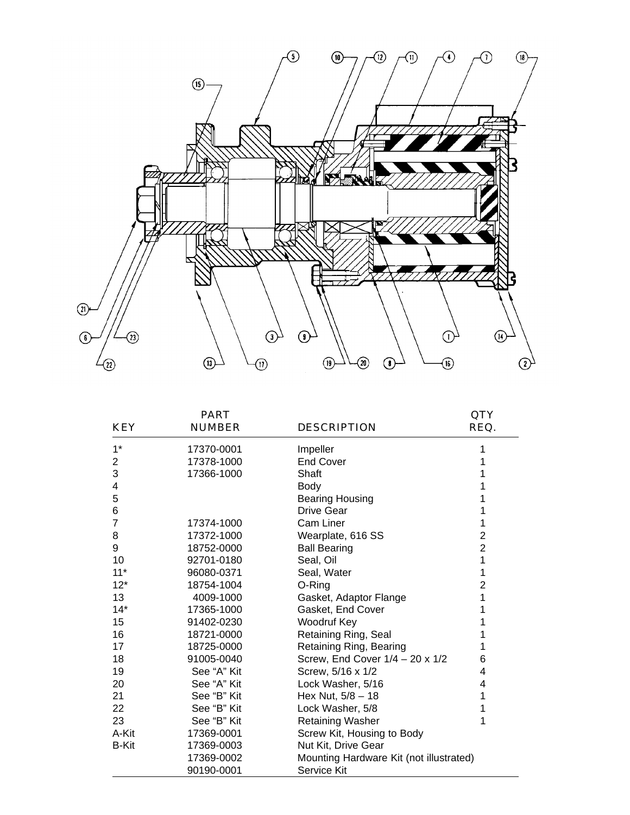

| <b>KEY</b>   | <b>PART</b><br><b>NUMBER</b> | <b>DESCRIPTION</b>                      | QTY<br>REQ.    |
|--------------|------------------------------|-----------------------------------------|----------------|
| $1^*$        | 17370-0001                   | Impeller                                |                |
| 2            | 17378-1000                   | <b>End Cover</b>                        |                |
| 3            | 17366-1000                   | Shaft                                   |                |
| 4            |                              | Body                                    |                |
| 5            |                              | <b>Bearing Housing</b>                  |                |
| 6            |                              | <b>Drive Gear</b>                       |                |
| 7            | 17374-1000                   | Cam Liner                               | 1              |
| 8            | 17372-1000                   | Wearplate, 616 SS                       | $\overline{2}$ |
| 9            | 18752-0000                   | <b>Ball Bearing</b>                     | $\overline{2}$ |
| 10           | 92701-0180                   | Seal, Oil                               | 1              |
| $11*$        | 96080-0371                   | Seal, Water                             | 1              |
| $12*$        | 18754-1004                   | O-Ring                                  | $\overline{2}$ |
| 13           | 4009-1000                    | Gasket, Adaptor Flange                  | 1              |
| $14*$        | 17365-1000                   | Gasket, End Cover                       | 1              |
| 15           | 91402-0230                   | Woodruf Key                             |                |
| 16           | 18721-0000                   | Retaining Ring, Seal                    |                |
| 17           | 18725-0000                   | Retaining Ring, Bearing                 | 1              |
| 18           | 91005-0040                   | Screw, End Cover 1/4 - 20 x 1/2         | 6              |
| 19           | See "A" Kit                  | Screw, 5/16 x 1/2                       | 4              |
| 20           | See "A" Kit                  | Lock Washer, 5/16                       | 4              |
| 21           | See "B" Kit                  | Hex Nut, 5/8 - 18                       | 1              |
| 22           | See "B" Kit                  | Lock Washer, 5/8                        | 1              |
| 23           | See "B" Kit                  | Retaining Washer                        | 1              |
| A-Kit        | 17369-0001                   | Screw Kit, Housing to Body              |                |
| <b>B-Kit</b> | 17369-0003                   | Nut Kit, Drive Gear                     |                |
|              | 17369-0002                   | Mounting Hardware Kit (not illustrated) |                |
|              | 90190-0001                   | Service Kit                             |                |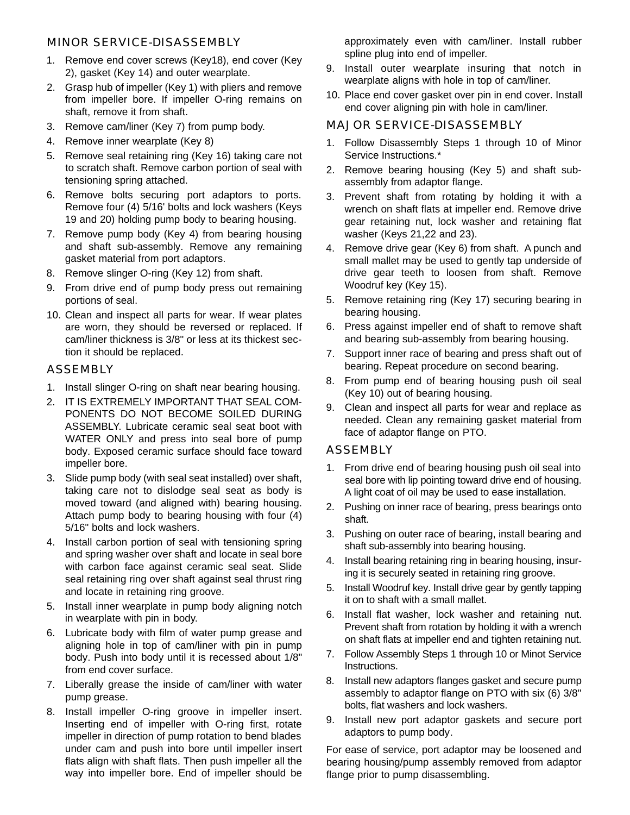### MINOR SERVICE-DISASSEMBLY

- 1. Remove end cover screws (Key18), end cover (Key 2), gasket (Key 14) and outer wearplate.
- 2. Grasp hub of impeller (Key 1) with pliers and remove from impeller bore. If impeller O-ring remains on shaft, remove it from shaft.
- 3. Remove cam/liner (Key 7) from pump body.
- 4. Remove inner wearplate (Key 8)
- 5. Remove seal retaining ring (Key 16) taking care not to scratch shaft. Remove carbon portion of seal with tensioning spring attached.
- 6. Remove bolts securing port adaptors to ports. Remove four (4) 5/16' bolts and lock washers (Keys 19 and 20) holding pump body to bearing housing.
- 7. Remove pump body (Key 4) from bearing housing and shaft sub-assembly. Remove any remaining gasket material from port adaptors.
- 8. Remove slinger O-ring (Key 12) from shaft.
- 9. From drive end of pump body press out remaining portions of seal.
- 10. Clean and inspect all parts for wear. If wear plates are worn, they should be reversed or replaced. If cam/liner thickness is 3/8" or less at its thickest section it should be replaced.

#### ASSEMBLY

- 1. Install slinger O-ring on shaft near bearing housing.
- 2. IT IS EXTREMELY IMPORTANT THAT SEAL COM-PONENTS DO NOT BECOME SOILED DURING ASSEMBLY. Lubricate ceramic seal seat boot with WATER ONLY and press into seal bore of pump body. Exposed ceramic surface should face toward impeller bore.
- 3. Slide pump body (with seal seat installed) over shaft, taking care not to dislodge seal seat as body is moved toward (and aligned with) bearing housing. Attach pump body to bearing housing with four (4) 5/16" bolts and lock washers.
- 4. Install carbon portion of seal with tensioning spring and spring washer over shaft and locate in seal bore with carbon face against ceramic seal seat. Slide seal retaining ring over shaft against seal thrust ring and locate in retaining ring groove.
- 5. Install inner wearplate in pump body aligning notch in wearplate with pin in body.
- 6. Lubricate body with film of water pump grease and aligning hole in top of cam/liner with pin in pump body. Push into body until it is recessed about 1/8" from end cover surface.
- 7. Liberally grease the inside of cam/liner with water pump grease.
- 8. Install impeller O-ring groove in impeller insert. Inserting end of impeller with O-ring first, rotate impeller in direction of pump rotation to bend blades under cam and push into bore until impeller insert flats align with shaft flats. Then push impeller all the way into impeller bore. End of impeller should be

approximately even with cam/liner. Install rubber spline plug into end of impeller.

- 9. Install outer wearplate insuring that notch in wearplate aligns with hole in top of cam/liner.
- 10. Place end cover gasket over pin in end cover. Install end cover aligning pin with hole in cam/liner.

### MAJOR SERVICE-DISASSEMBLY

- 1. Follow Disassembly Steps 1 through 10 of Minor Service Instructions.\*
- 2. Remove bearing housing (Key 5) and shaft subassembly from adaptor flange.
- 3. Prevent shaft from rotating by holding it with a wrench on shaft flats at impeller end. Remove drive gear retaining nut, lock washer and retaining flat washer (Keys 21,22 and 23).
- 4. Remove drive gear (Key 6) from shaft. A punch and small mallet may be used to gently tap underside of drive gear teeth to loosen from shaft. Remove Woodruf key (Key 15).
- 5. Remove retaining ring (Key 17) securing bearing in bearing housing.
- 6. Press against impeller end of shaft to remove shaft and bearing sub-assembly from bearing housing.
- 7. Support inner race of bearing and press shaft out of bearing. Repeat procedure on second bearing.
- 8. From pump end of bearing housing push oil seal (Key 10) out of bearing housing.
- 9. Clean and inspect all parts for wear and replace as needed. Clean any remaining gasket material from face of adaptor flange on PTO.

#### **ASSEMBLY**

- 1. From drive end of bearing housing push oil seal into seal bore with lip pointing toward drive end of housing. A light coat of oil may be used to ease installation.
- 2. Pushing on inner race of bearing, press bearings onto shaft.
- 3. Pushing on outer race of bearing, install bearing and shaft sub-assembly into bearing housing.
- 4. Install bearing retaining ring in bearing housing, insuring it is securely seated in retaining ring groove.
- 5 . Install Woodruf key. Install drive gear by gently tapping it on to shaft with a small mallet.
- 6. Install flat washer, lock washer and retaining nut. Prevent shaft from rotation by holding it with a wrench on shaft flats at impeller end and tighten retaining nut.
- 7. Follow Assembly Steps 1 through 10 or Minot Service Instructions.
- 8. Install new adaptors flanges gasket and secure pump assembly to adaptor flange on PTO with six (6) 3/8" bolts, flat washers and lock washers.
- 9. Install new port adaptor gaskets and secure port adaptors to pump body.

For ease of service, port adaptor may be loosened and bearing housing/pump assembly removed from adaptor flange prior to pump disassembling.